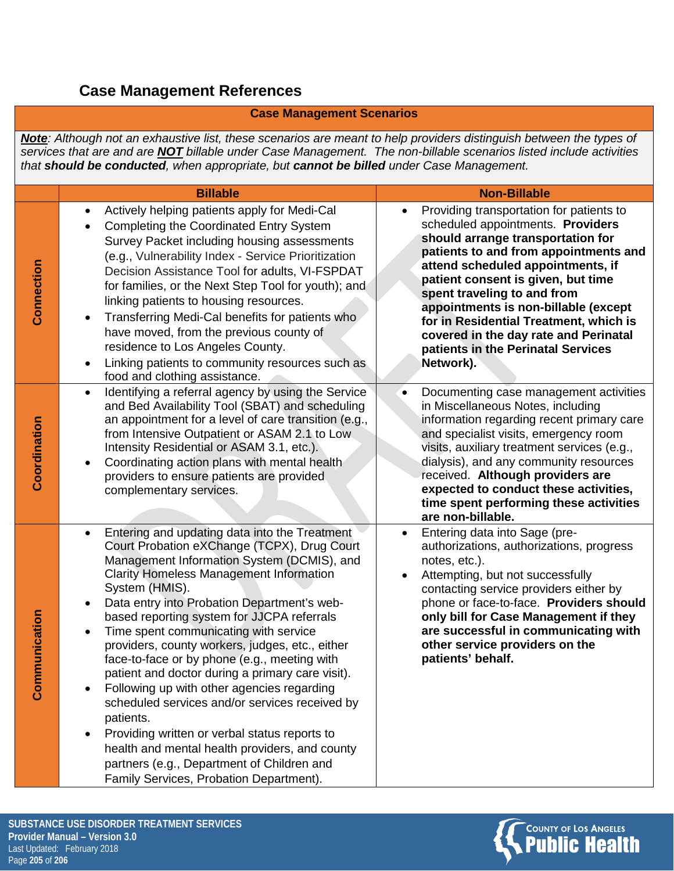## **Case Management References**

## **Case Management Scenarios**

*Note: Although not an exhaustive list, these scenarios are meant to help providers distinguish between the types of services that are and are NOT billable under Case Management. The non-billable scenarios listed include activities that should be conducted, when appropriate, but cannot be billed under Case Management.* 

|                           | <b>Billable</b>                                                                                                                                                                                                                                                                                                                                                                                                                                                                                                                                                                                                                                                                                                                                                                                                                                | <b>Non-Billable</b>                                                                                                                                                                                                                                                                                                                                                                                                                                 |
|---------------------------|------------------------------------------------------------------------------------------------------------------------------------------------------------------------------------------------------------------------------------------------------------------------------------------------------------------------------------------------------------------------------------------------------------------------------------------------------------------------------------------------------------------------------------------------------------------------------------------------------------------------------------------------------------------------------------------------------------------------------------------------------------------------------------------------------------------------------------------------|-----------------------------------------------------------------------------------------------------------------------------------------------------------------------------------------------------------------------------------------------------------------------------------------------------------------------------------------------------------------------------------------------------------------------------------------------------|
| Connection                | Actively helping patients apply for Medi-Cal<br>٠<br>Completing the Coordinated Entry System<br>Survey Packet including housing assessments<br>(e.g., Vulnerability Index - Service Prioritization<br>Decision Assistance Tool for adults, VI-FSPDAT<br>for families, or the Next Step Tool for youth); and<br>linking patients to housing resources.<br>Transferring Medi-Cal benefits for patients who<br>٠<br>have moved, from the previous county of<br>residence to Los Angeles County.<br>Linking patients to community resources such as<br>food and clothing assistance.                                                                                                                                                                                                                                                               | Providing transportation for patients to<br>scheduled appointments. Providers<br>should arrange transportation for<br>patients to and from appointments and<br>attend scheduled appointments, if<br>patient consent is given, but time<br>spent traveling to and from<br>appointments is non-billable (except<br>for in Residential Treatment, which is<br>covered in the day rate and Perinatal<br>patients in the Perinatal Services<br>Network). |
| Coordination              | Identifying a referral agency by using the Service<br>$\bullet$<br>and Bed Availability Tool (SBAT) and scheduling<br>an appointment for a level of care transition (e.g.,<br>from Intensive Outpatient or ASAM 2.1 to Low.<br>Intensity Residential or ASAM 3.1, etc.).<br>Coordinating action plans with mental health<br>٠<br>providers to ensure patients are provided<br>complementary services.                                                                                                                                                                                                                                                                                                                                                                                                                                          | Documenting case management activities<br>$\bullet$<br>in Miscellaneous Notes, including<br>information regarding recent primary care<br>and specialist visits, emergency room<br>visits, auxiliary treatment services (e.g.,<br>dialysis), and any community resources<br>received. Although providers are<br>expected to conduct these activities,<br>time spent performing these activities<br>are non-billable.                                 |
| <b>Imunication</b><br>Com | Entering and updating data into the Treatment<br>$\bullet$<br>Court Probation eXChange (TCPX), Drug Court<br>Management Information System (DCMIS), and<br><b>Clarity Homeless Management Information</b><br>System (HMIS).<br>Data entry into Probation Department's web-<br>$\bullet$<br>based reporting system for JJCPA referrals<br>Time spent communicating with service<br>providers, county workers, judges, etc., either<br>face-to-face or by phone (e.g., meeting with<br>patient and doctor during a primary care visit).<br>Following up with other agencies regarding<br>scheduled services and/or services received by<br>patients.<br>Providing written or verbal status reports to<br>health and mental health providers, and county<br>partners (e.g., Department of Children and<br>Family Services, Probation Department). | Entering data into Sage (pre-<br>$\bullet$<br>authorizations, authorizations, progress<br>notes, etc.).<br>Attempting, but not successfully<br>$\bullet$<br>contacting service providers either by<br>phone or face-to-face. Providers should<br>only bill for Case Management if they<br>are successful in communicating with<br>other service providers on the<br>patients' behalf.                                                               |